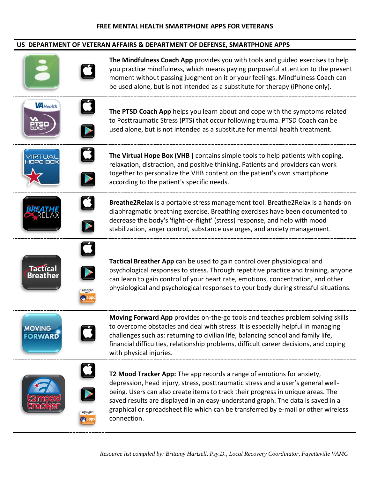## **US DEPARTMENT OF VETERAN AFFAIRS & DEPARTMENT OF DEFENSE, SMARTPHONE APPS**

| $\mathbf C$                                                                                                    | The Mindfulness Coach App provides you with tools and guided exercises to help<br>you practice mindfulness, which means paying purposeful attention to the present<br>moment without passing judgment on it or your feelings. Mindfulness Coach can<br>be used alone, but is not intended as a substitute for therapy (iPhone only).                                                                                                 |
|----------------------------------------------------------------------------------------------------------------|--------------------------------------------------------------------------------------------------------------------------------------------------------------------------------------------------------------------------------------------------------------------------------------------------------------------------------------------------------------------------------------------------------------------------------------|
| $\dot{\mathbf{G}}$<br><b>VA</b> Health<br>$\blacktriangleright$                                                | The PTSD Coach App helps you learn about and cope with the symptoms related<br>to Posttraumatic Stress (PTS) that occur following trauma. PTSD Coach can be<br>used alone, but is not intended as a substitute for mental health treatment.                                                                                                                                                                                          |
| <u>D</u>                                                                                                       | The Virtual Hope Box (VHB) contains simple tools to help patients with coping,<br>relaxation, distraction, and positive thinking. Patients and providers can work<br>together to personalize the VHB content on the patient's own smartphone<br>according to the patient's specific needs.                                                                                                                                           |
| $\boldsymbol{\Box}$<br>E                                                                                       | Breathe2Relax is a portable stress management tool. Breathe2Relax is a hands-on<br>diaphragmatic breathing exercise. Breathing exercises have been documented to<br>decrease the body's 'fight-or-flight' (stress) response, and help with mood<br>stabilization, anger control, substance use urges, and anxiety management.                                                                                                        |
| $\boldsymbol{\Box}$<br><b>Tactical</b><br>$\blacktriangleright$<br><b>Breather</b><br>amazon<br><u>ம், app</u> | Tactical Breather App can be used to gain control over physiological and<br>psychological responses to stress. Through repetitive practice and training, anyone<br>can learn to gain control of your heart rate, emotions, concentration, and other<br>physiological and psychological responses to your body during stressful situations.                                                                                           |
| <b>MOVING</b><br><b>FORWARD</b>                                                                                | Moving Forward App provides on-the-go tools and teaches problem solving skills<br>to overcome obstacles and deal with stress. It is especially helpful in managing<br>challenges such as: returning to civilian life, balancing school and family life,<br>financial difficulties, relationship problems, difficult career decisions, and coping<br>with physical injuries.                                                          |
| $\cup$<br>amazon<br><b>i</b> apps                                                                              | T2 Mood Tracker App: The app records a range of emotions for anxiety,<br>depression, head injury, stress, posttraumatic stress and a user's general well-<br>being. Users can also create items to track their progress in unique areas. The<br>saved results are displayed in an easy-understand graph. The data is saved in a<br>graphical or spreadsheet file which can be transferred by e-mail or other wireless<br>connection. |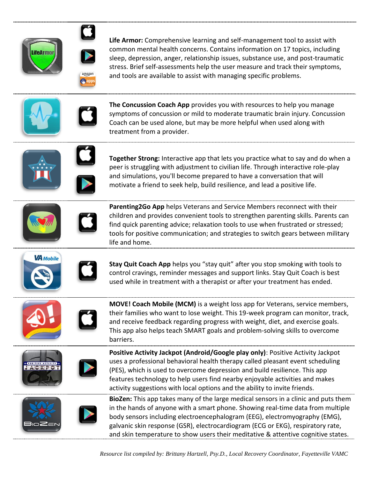



**Life Armor:** Comprehensive learning and self-management tool to assist with common mental health concerns. Contains information on 17 topics, including sleep, depression, anger, relationship issues, substance use, and post-traumatic stress. Brief self-assessments help the user measure and track their symptoms, and tools are available to assist with managing specific problems.





**The Concussion Coach App** provides you with resources to help you manage symptoms of concussion or mild to moderate traumatic brain injury. Concussion Coach can be used alone, but may be more helpful when used along with treatment from a provider.





**Together Strong:** Interactive app that lets you practice what to say and do when a peer is struggling with adjustment to civilian life. Through interactive role-play and simulations, you'll become prepared to have a conversation that will motivate a friend to seek help, build resilience, and lead a positive life.



**Parenting2Go App** helps Veterans and Service Members reconnect with their children and provides convenient tools to strengthen parenting skills. Parents can find quick parenting advice; relaxation tools to use when frustrated or stressed; tools for positive communication; and strategies to switch gears between military life and home.





**Stay Quit Coach App** helps you "stay quit" after you stop smoking with tools to control cravings, reminder messages and support links. Stay Quit Coach is best used while in treatment with a therapist or after your treatment has ended.



**MOVE! Coach Mobile (MCM)** is a weight loss app for Veterans, service members, their families who want to lose weight. This 19-week program can monitor, track, and receive feedback regarding progress with weight, diet, and exercise goals. This app also helps teach SMART goals and problem-solving skills to overcome barriers.





**Positive Activity Jackpot (Android/Google play only)**: Positive Activity Jackpot uses a professional behavioral health therapy called pleasant event scheduling (PES), which is used to overcome depression and build resilience. This app features technology to help users find nearby enjoyable activities and makes activity suggestions with local options and the ability to invite friends.



**BioZen:** This app takes many of the large medical sensors in a clinic and puts them in the hands of anyone with a smart phone. Showing real-time data from multiple body sensors including electroencephalogram (EEG), electromyography (EMG), galvanic skin response (GSR), electrocardiogram (ECG or EKG), respiratory rate, and skin temperature to show users their meditative & attentive cognitive states.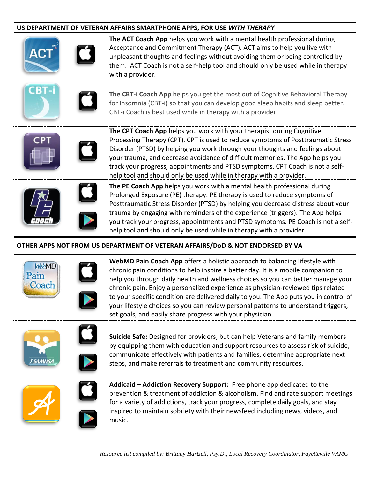## **US DEPARTMENT OF VETERAN AFFAIRS SMARTPHONE APPS, FOR USE** *WITH THERAPY*



**The ACT Coach App** helps you work with a mental health professional during Acceptance and Commitment Therapy (ACT). ACT aims to help you live with unpleasant thoughts and feelings without avoiding them or being controlled by them. ACT Coach is not a self-help tool and should only be used while in therapy with a provider.





**The CBT-i Coach App** helps you get the most out of Cognitive Behavioral Therapy for Insomnia (CBT-i) so that you can develop good sleep habits and sleep better. CBT-i Coach is best used while in therapy with a provider.



**The CPT Coach App** helps you work with your therapist during Cognitive Processing Therapy (CPT). CPT is used to reduce symptoms of Posttraumatic Stress Disorder (PTSD) by helping you work through your thoughts and feelings about your trauma, and decrease avoidance of difficult memories. The App helps you track your progress, appointments and PTSD symptoms. CPT Coach is not a selfhelp tool and should only be used while in therapy with a provider.





**The PE Coach App** helps you work with a mental health professional during Prolonged Exposure (PE) therapy. PE therapy is used to reduce symptoms of Posttraumatic Stress Disorder (PTSD) by helping you decrease distress about your trauma by engaging with reminders of the experience (triggers). The App helps you track your progress, appointments and PTSD symptoms. PE Coach is not a selfhelp tool and should only be used while in therapy with a provider.

## **OTHER APPS NOT FROM US DEPARTMENT OF VETERAN AFFAIRS/DoD & NOT ENDORSED BY VA**



**WebMD Pain Coach App** offers a holistic approach to balancing lifestyle with chronic pain conditions to help inspire a better day. It is a mobile companion to help you through daily health and wellness choices so you can better manage your chronic pain. Enjoy a personalized experience as physician-reviewed tips related to your specific condition are delivered daily to you. The App puts you in control of your lifestyle choices so you can review personal patterns to understand triggers, set goals, and easily share progress with your physician.



**Suicide Safe:** Designed for providers, but can help Veterans and family members by equipping them with education and support resources to assess risk of suicide, communicate effectively with patients and families, determine appropriate next steps, and make referrals to treatment and community resources.



**Addicaid – Addiction Recovery Support:** Free phone app dedicated to the prevention & treatment of addiction & alcoholism. Find and rate support meetings for a variety of addictions, track your progress, complete daily goals, and stay inspired to maintain sobriety with their newsfeed including news, videos, and music.